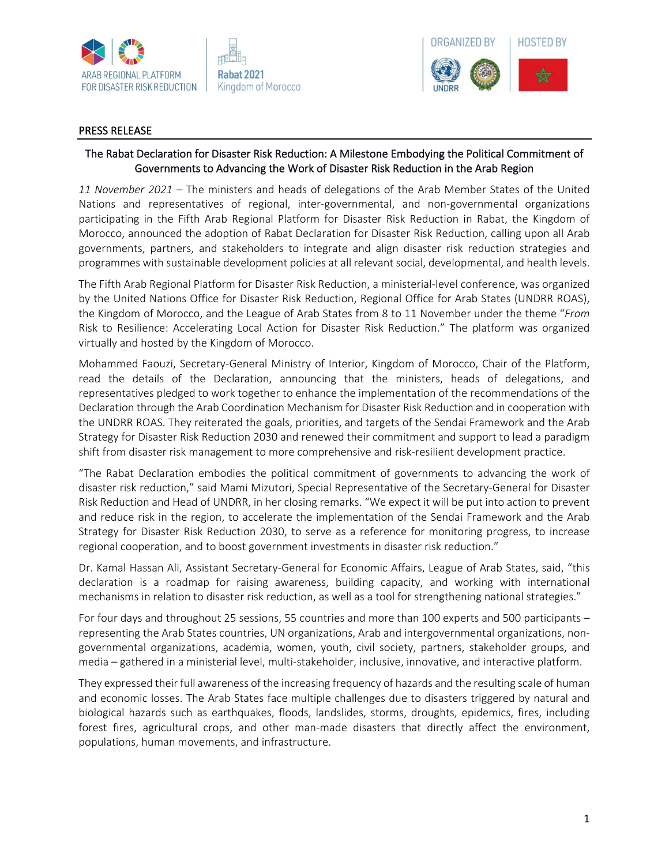



## PRESS RELEASE

## The Rabat Declaration for Disaster Risk Reduction: A Milestone Embodying the Political Commitment of Governments to Advancing the Work of Disaster Risk Reduction in the Arab Region

*11 November 2021 –* The ministers and heads of delegations of the Arab Member States of the United Nations and representatives of regional, inter-governmental, and non-governmental organizations participating in the Fifth Arab Regional Platform for Disaster Risk Reduction in Rabat, the Kingdom of Morocco, announced the adoption of Rabat Declaration for Disaster Risk Reduction, calling upon all Arab governments, partners, and stakeholders to integrate and align disaster risk reduction strategies and programmes with sustainable development policies at all relevant social, developmental, and health levels.

The Fifth Arab Regional Platform for Disaster Risk Reduction, a ministerial-level conference, was organized by the United Nations Office for Disaster Risk Reduction, Regional Office for Arab States (UNDRR ROAS), the Kingdom of Morocco, and the League of Arab States from 8 to 11 November under the theme "*From*  Risk to Resilience: Accelerating Local Action for Disaster Risk Reduction." The platform was organized virtually and hosted by the Kingdom of Morocco.

Mohammed Faouzi, Secretary-General Ministry of Interior, Kingdom of Morocco, Chair of the Platform, read the details of the Declaration, announcing that the ministers, heads of delegations, and representatives pledged to work together to enhance the implementation of the recommendations of the Declaration through the Arab Coordination Mechanism for Disaster Risk Reduction and in cooperation with the UNDRR ROAS. They reiterated the goals, priorities, and targets of the Sendai Framework and the Arab Strategy for Disaster Risk Reduction 2030 and renewed their commitment and support to lead a paradigm shift from disaster risk management to more comprehensive and risk-resilient development practice.

"The Rabat Declaration embodies the political commitment of governments to advancing the work of disaster risk reduction," said Mami Mizutori, Special Representative of the Secretary-General for Disaster Risk Reduction and Head of UNDRR, in her closing remarks. "We expect it will be put into action to prevent and reduce risk in the region, to accelerate the implementation of the Sendai Framework and the Arab Strategy for Disaster Risk Reduction 2030, to serve as a reference for monitoring progress, to increase regional cooperation, and to boost government investments in disaster risk reduction."

Dr. Kamal Hassan Ali, Assistant Secretary-General for Economic Affairs, League of Arab States, said, "this declaration is a roadmap for raising awareness, building capacity, and working with international mechanisms in relation to disaster risk reduction, as well as a tool for strengthening national strategies."

For four days and throughout 25 sessions, 55 countries and more than 100 experts and 500 participants – representing the Arab States countries, UN organizations, Arab and intergovernmental organizations, nongovernmental organizations, academia, women, youth, civil society, partners, stakeholder groups, and media – gathered in a ministerial level, multi-stakeholder, inclusive, innovative, and interactive platform.

They expressed their full awareness of the increasing frequency of hazards and the resulting scale of human and economic losses. The Arab States face multiple challenges due to disasters triggered by natural and biological hazards such as earthquakes, floods, landslides, storms, droughts, epidemics, fires, including forest fires, agricultural crops, and other man-made disasters that directly affect the environment, populations, human movements, and infrastructure.